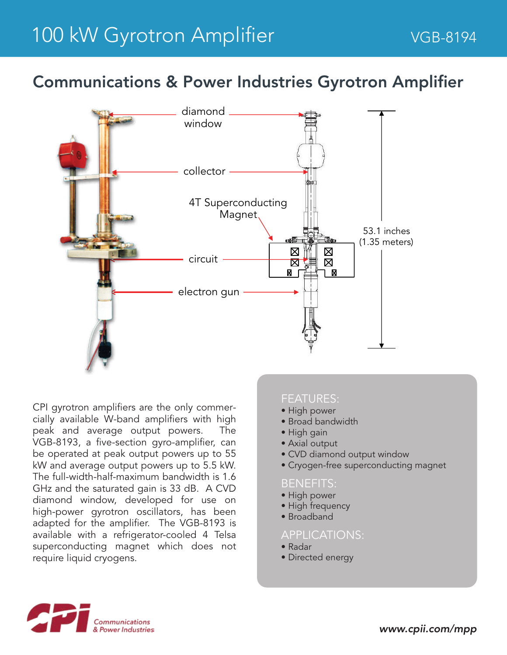## Communications & Power Industries Gyrotron Amplifier



CPI gyrotron amplifiers are the only commercially available W-band amplifiers with high peak and average output powers. The VGB-8193, a five-section gyro-amplifier, can be operated at peak output powers up to 55 kW and average output powers up to 5.5 kW. The full-width-half-maximum bandwidth is 1.6 GHz and the saturated gain is 33 dB. A CVD diamond window, developed for use on high-power gyrotron oscillators, has been adapted for the amplifier. The VGB-8193 is available with a refrigerator-cooled 4 Telsa superconducting magnet which does not require liquid cryogens.

#### FEATURES:

- High power
- Broad bandwidth
- High gain
- Axial output
- CVD diamond output window
- Cryogen-free superconducting magnet

#### BENEFITS:

- High power
- High frequency
- Broadband

### APPLICATIONS:

- Radar
- Directed energy